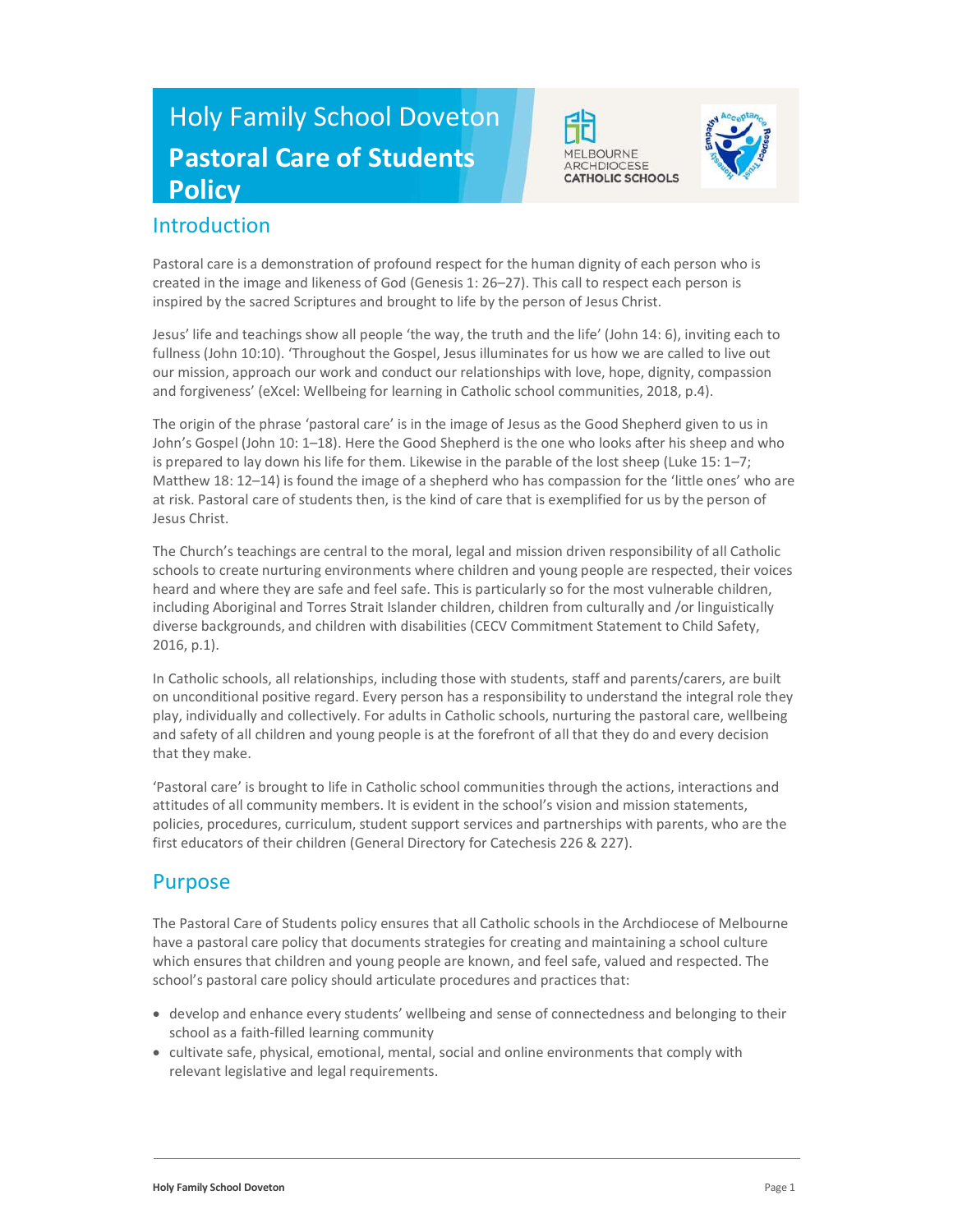# Holy Family School Doveton Pastoral Care of Students **Policy**



Pastoral care is a demonstration of profound respect for the human dignity of each person who is created in the image and likeness of God (Genesis 1: 26–27). This call to respect each person is inspired by the sacred Scriptures and brought to life by the person of Jesus Christ.

**MELBOURNE** ARCHDIOCESE **CATHOLIC SCHOOLS** 

Jesus' life and teachings show all people 'the way, the truth and the life' (John 14: 6), inviting each to fullness (John 10:10). 'Throughout the Gospel, Jesus illuminates for us how we are called to live out our mission, approach our work and conduct our relationships with love, hope, dignity, compassion and forgiveness' (eXcel: Wellbeing for learning in Catholic school communities, 2018, p.4).

The origin of the phrase 'pastoral care' is in the image of Jesus as the Good Shepherd given to us in John's Gospel (John 10: 1–18). Here the Good Shepherd is the one who looks after his sheep and who is prepared to lay down his life for them. Likewise in the parable of the lost sheep (Luke 15: 1–7; Matthew 18: 12–14) is found the image of a shepherd who has compassion for the 'little ones' who are at risk. Pastoral care of students then, is the kind of care that is exemplified for us by the person of Jesus Christ.

The Church's teachings are central to the moral, legal and mission driven responsibility of all Catholic schools to create nurturing environments where children and young people are respected, their voices heard and where they are safe and feel safe. This is particularly so for the most vulnerable children, including Aboriginal and Torres Strait Islander children, children from culturally and /or linguistically diverse backgrounds, and children with disabilities (CECV Commitment Statement to Child Safety, 2016, p.1).

In Catholic schools, all relationships, including those with students, staff and parents/carers, are built on unconditional positive regard. Every person has a responsibility to understand the integral role they play, individually and collectively. For adults in Catholic schools, nurturing the pastoral care, wellbeing and safety of all children and young people is at the forefront of all that they do and every decision that they make.

'Pastoral care' is brought to life in Catholic school communities through the actions, interactions and attitudes of all community members. It is evident in the school's vision and mission statements, policies, procedures, curriculum, student support services and partnerships with parents, who are the first educators of their children (General Directory for Catechesis 226 & 227).

## Purpose

The Pastoral Care of Students policy ensures that all Catholic schools in the Archdiocese of Melbourne have a pastoral care policy that documents strategies for creating and maintaining a school culture which ensures that children and young people are known, and feel safe, valued and respected. The school's pastoral care policy should articulate procedures and practices that:

- develop and enhance every students' wellbeing and sense of connectedness and belonging to their school as a faith-filled learning community
- cultivate safe, physical, emotional, mental, social and online environments that comply with relevant legislative and legal requirements.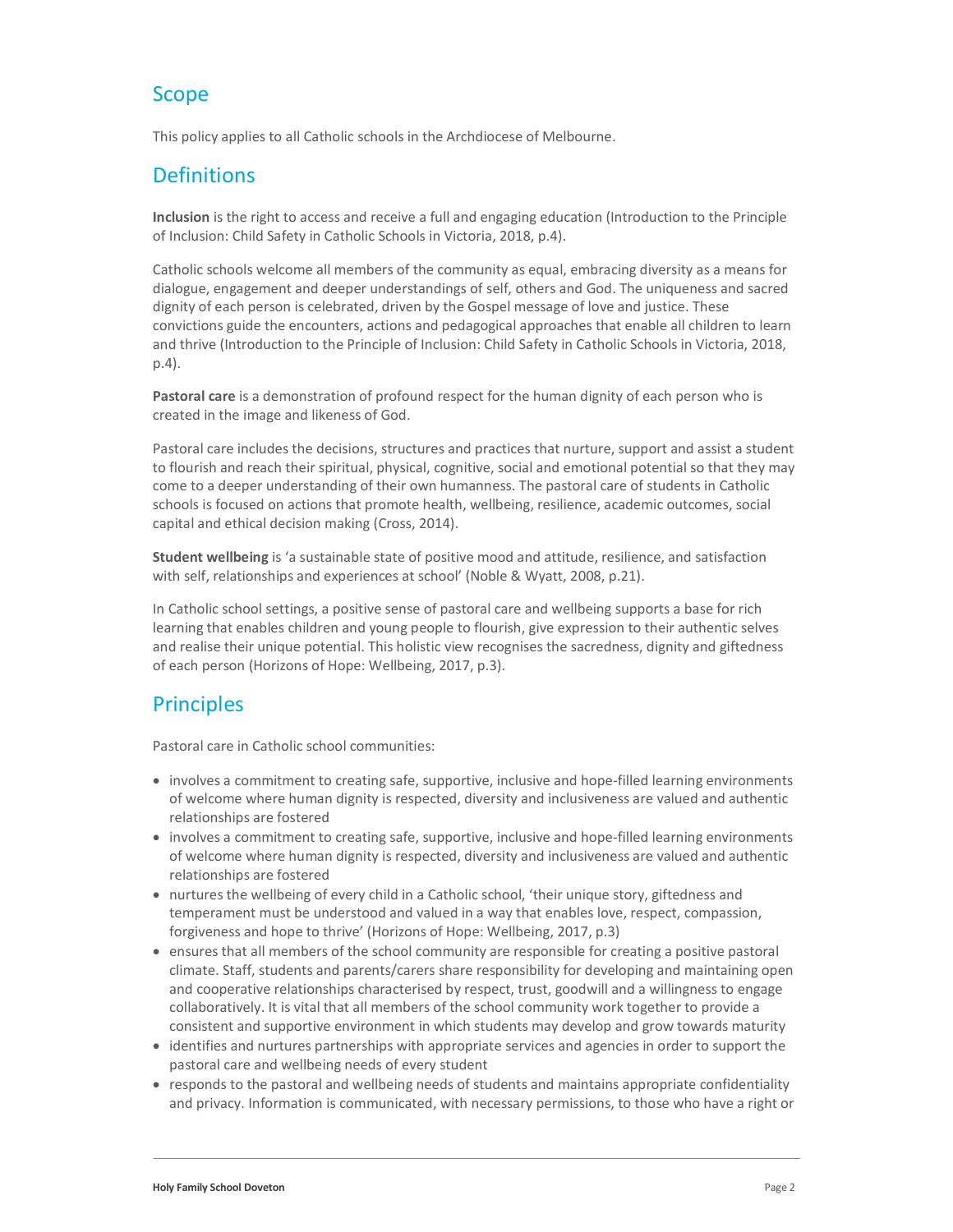# Scope

This policy applies to all Catholic schools in the Archdiocese of Melbourne.

# **Definitions**

Inclusion is the right to access and receive a full and engaging education (Introduction to the Principle of Inclusion: Child Safety in Catholic Schools in Victoria, 2018, p.4).

Catholic schools welcome all members of the community as equal, embracing diversity as a means for dialogue, engagement and deeper understandings of self, others and God. The uniqueness and sacred dignity of each person is celebrated, driven by the Gospel message of love and justice. These convictions guide the encounters, actions and pedagogical approaches that enable all children to learn and thrive (Introduction to the Principle of Inclusion: Child Safety in Catholic Schools in Victoria, 2018, p.4).

Pastoral care is a demonstration of profound respect for the human dignity of each person who is created in the image and likeness of God.

Pastoral care includes the decisions, structures and practices that nurture, support and assist a student to flourish and reach their spiritual, physical, cognitive, social and emotional potential so that they may come to a deeper understanding of their own humanness. The pastoral care of students in Catholic schools is focused on actions that promote health, wellbeing, resilience, academic outcomes, social capital and ethical decision making (Cross, 2014).

Student wellbeing is 'a sustainable state of positive mood and attitude, resilience, and satisfaction with self, relationships and experiences at school' (Noble & Wyatt, 2008, p.21).

In Catholic school settings, a positive sense of pastoral care and wellbeing supports a base for rich learning that enables children and young people to flourish, give expression to their authentic selves and realise their unique potential. This holistic view recognises the sacredness, dignity and giftedness of each person (Horizons of Hope: Wellbeing, 2017, p.3).

# **Principles**

Pastoral care in Catholic school communities:

- involves a commitment to creating safe, supportive, inclusive and hope-filled learning environments of welcome where human dignity is respected, diversity and inclusiveness are valued and authentic relationships are fostered
- involves a commitment to creating safe, supportive, inclusive and hope-filled learning environments of welcome where human dignity is respected, diversity and inclusiveness are valued and authentic relationships are fostered
- nurtures the wellbeing of every child in a Catholic school, 'their unique story, giftedness and temperament must be understood and valued in a way that enables love, respect, compassion, forgiveness and hope to thrive' (Horizons of Hope: Wellbeing, 2017, p.3)
- ensures that all members of the school community are responsible for creating a positive pastoral climate. Staff, students and parents/carers share responsibility for developing and maintaining open and cooperative relationships characterised by respect, trust, goodwill and a willingness to engage collaboratively. It is vital that all members of the school community work together to provide a consistent and supportive environment in which students may develop and grow towards maturity
- identifies and nurtures partnerships with appropriate services and agencies in order to support the pastoral care and wellbeing needs of every student
- responds to the pastoral and wellbeing needs of students and maintains appropriate confidentiality and privacy. Information is communicated, with necessary permissions, to those who have a right or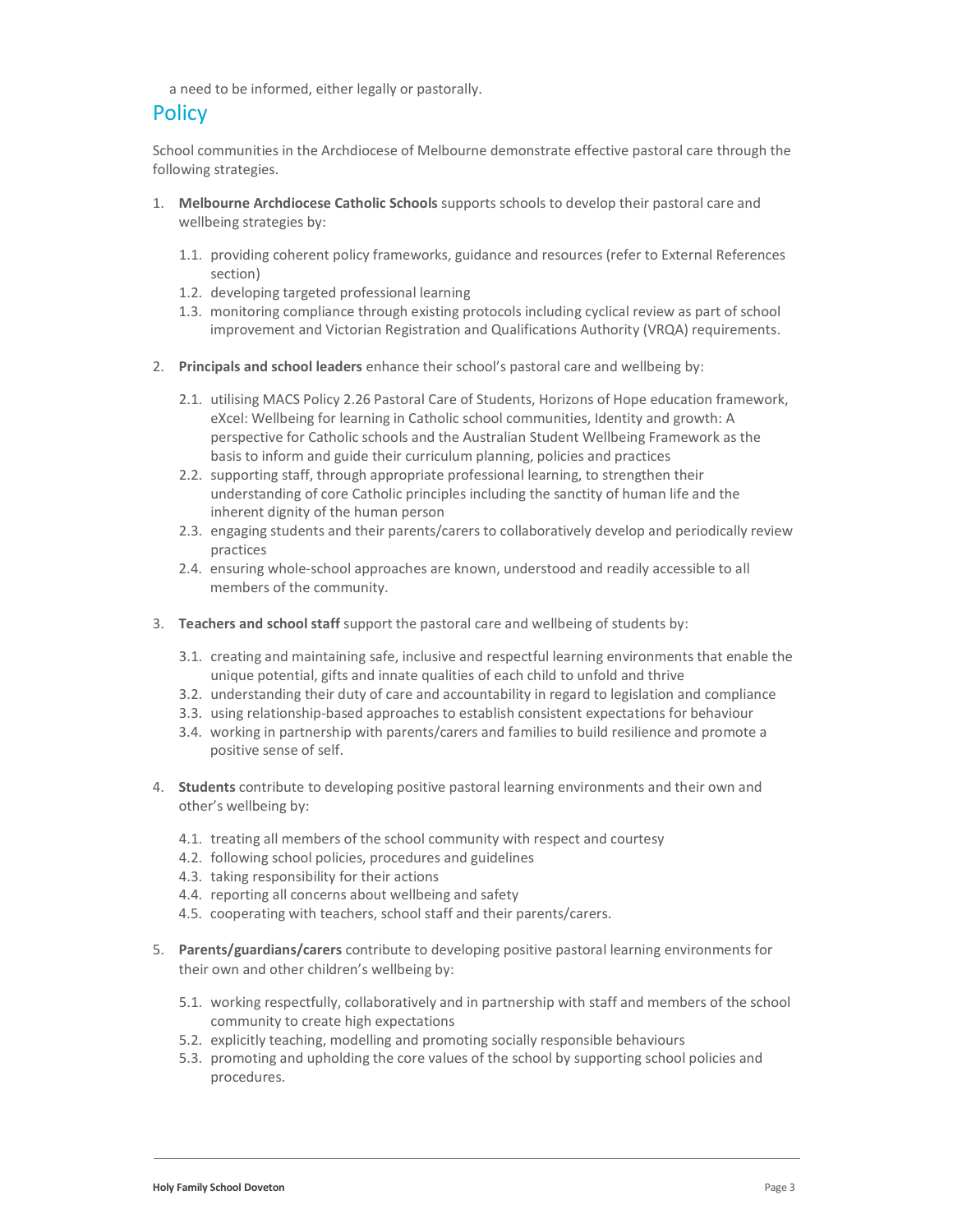a need to be informed, either legally or pastorally.

## **Policy**

School communities in the Archdiocese of Melbourne demonstrate effective pastoral care through the following strategies.

- 1. Melbourne Archdiocese Catholic Schools supports schools to develop their pastoral care and wellbeing strategies by:
	- 1.1. providing coherent policy frameworks, guidance and resources (refer to External References section)
	- 1.2. developing targeted professional learning
	- 1.3. monitoring compliance through existing protocols including cyclical review as part of school improvement and Victorian Registration and Qualifications Authority (VRQA) requirements.
- 2. Principals and school leaders enhance their school's pastoral care and wellbeing by:
	- 2.1. utilising MACS Policy 2.26 Pastoral Care of Students, Horizons of Hope education framework, eXcel: Wellbeing for learning in Catholic school communities, Identity and growth: A perspective for Catholic schools and the Australian Student Wellbeing Framework as the basis to inform and guide their curriculum planning, policies and practices
	- 2.2. supporting staff, through appropriate professional learning, to strengthen their understanding of core Catholic principles including the sanctity of human life and the inherent dignity of the human person
	- 2.3. engaging students and their parents/carers to collaboratively develop and periodically review practices
	- 2.4. ensuring whole-school approaches are known, understood and readily accessible to all members of the community.
- 3. Teachers and school staff support the pastoral care and wellbeing of students by:
	- 3.1. creating and maintaining safe, inclusive and respectful learning environments that enable the unique potential, gifts and innate qualities of each child to unfold and thrive
	- 3.2. understanding their duty of care and accountability in regard to legislation and compliance
	- 3.3. using relationship-based approaches to establish consistent expectations for behaviour
	- 3.4. working in partnership with parents/carers and families to build resilience and promote a positive sense of self.
- 4. Students contribute to developing positive pastoral learning environments and their own and other's wellbeing by:
	- 4.1. treating all members of the school community with respect and courtesy
	- 4.2. following school policies, procedures and guidelines
	- 4.3. taking responsibility for their actions
	- 4.4. reporting all concerns about wellbeing and safety
	- 4.5. cooperating with teachers, school staff and their parents/carers.
- 5. Parents/guardians/carers contribute to developing positive pastoral learning environments for their own and other children's wellbeing by:
	- 5.1. working respectfully, collaboratively and in partnership with staff and members of the school community to create high expectations
	- 5.2. explicitly teaching, modelling and promoting socially responsible behaviours
	- 5.3. promoting and upholding the core values of the school by supporting school policies and procedures.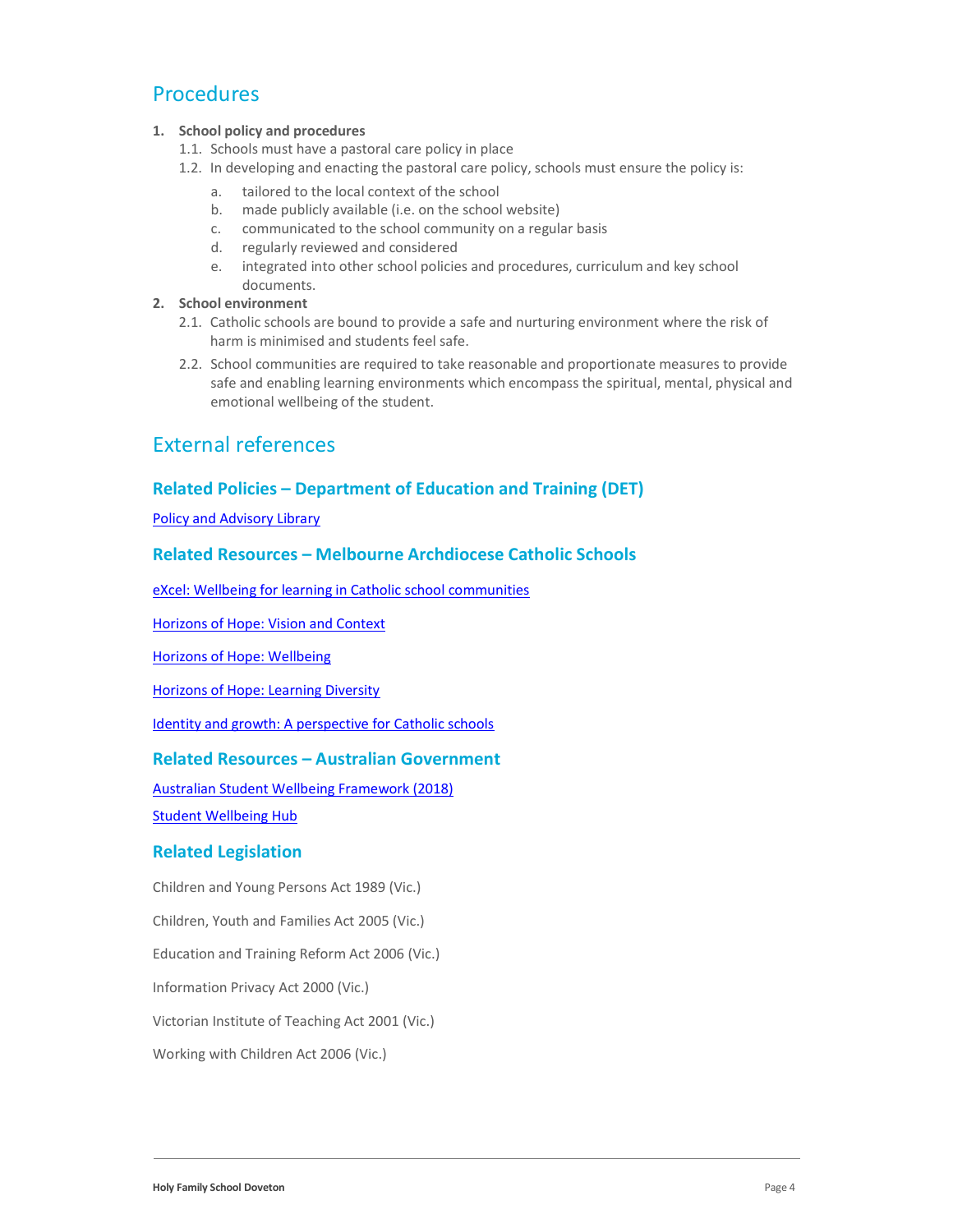### Procedures

#### 1. School policy and procedures

- 1.1. Schools must have a pastoral care policy in place
- 1.2. In developing and enacting the pastoral care policy, schools must ensure the policy is:
	- a. tailored to the local context of the school
	- b. made publicly available (i.e. on the school website)
	- c. communicated to the school community on a regular basis
	- d. regularly reviewed and considered
	- e. integrated into other school policies and procedures, curriculum and key school documents.

#### 2. School environment

- 2.1. Catholic schools are bound to provide a safe and nurturing environment where the risk of harm is minimised and students feel safe.
- 2.2. School communities are required to take reasonable and proportionate measures to provide safe and enabling learning environments which encompass the spiritual, mental, physical and emotional wellbeing of the student.

### External references

#### Related Policies – Department of Education and Training (DET)

Policy and Advisory Library

#### Related Resources – Melbourne Archdiocese Catholic Schools

eXcel: Wellbeing for learning in Catholic school communities

Horizons of Hope: Vision and Context

Horizons of Hope: Wellbeing

Horizons of Hope: Learning Diversity

Identity and growth: A perspective for Catholic schools

#### Related Resources – Australian Government

Australian Student Wellbeing Framework (2018)

Student Wellbeing Hub

#### Related Legislation

Children and Young Persons Act 1989 (Vic.)

Children, Youth and Families Act 2005 (Vic.)

Education and Training Reform Act 2006 (Vic.)

Information Privacy Act 2000 (Vic.)

Victorian Institute of Teaching Act 2001 (Vic.)

Working with Children Act 2006 (Vic.)